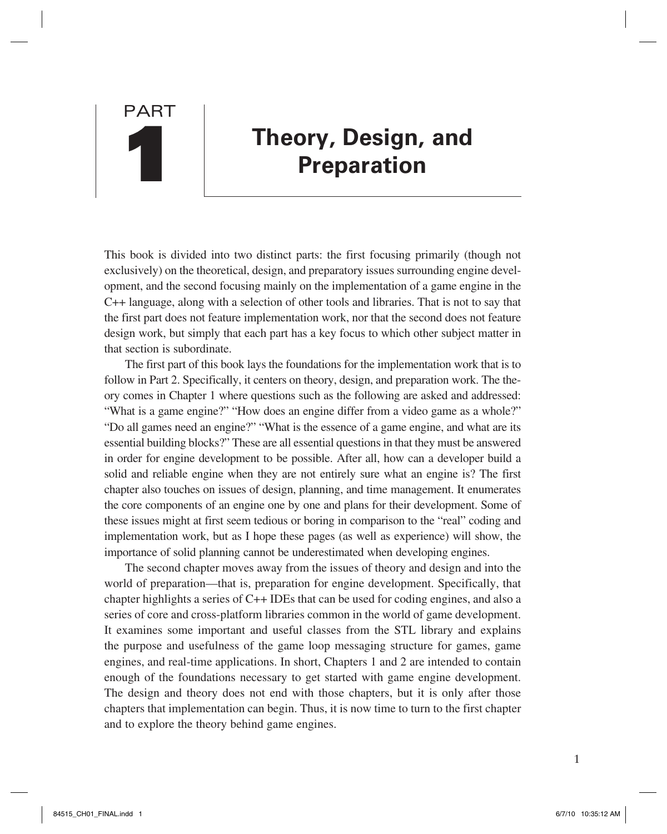## PART 1

### **Theory, Design, and Preparation**

This book is divided into two distinct parts: the first focusing primarily (though not exclusively) on the theoretical, design, and preparatory issues surrounding engine development, and the second focusing mainly on the implementation of a game engine in the C++ language, along with a selection of other tools and libraries. That is not to say that the first part does not feature implementation work, nor that the second does not feature design work, but simply that each part has a key focus to which other subject matter in that section is subordinate.

The first part of this book lays the foundations for the implementation work that is to follow in Part 2. Specifically, it centers on theory, design, and preparation work. The theory comes in Chapter 1 where questions such as the following are asked and addressed: "What is a game engine?" "How does an engine differ from a video game as a whole?" "Do all games need an engine?" "What is the essence of a game engine, and what are its essential building blocks?" These are all essential questions in that they must be answered in order for engine development to be possible. After all, how can a developer build a solid and reliable engine when they are not entirely sure what an engine is? The first chapter also touches on issues of design, planning, and time management. It enumerates the core components of an engine one by one and plans for their development. Some of these issues might at first seem tedious or boring in comparison to the "real" coding and implementation work, but as I hope these pages (as well as experience) will show, the importance of solid planning cannot be underestimated when developing engines.

The second chapter moves away from the issues of theory and design and into the world of preparation—that is, preparation for engine development. Specifically, that chapter highlights a series of C++ IDEs that can be used for coding engines, and also a series of core and cross-platform libraries common in the world of game development. It examines some important and useful classes from the STL library and explains the purpose and usefulness of the game loop messaging structure for games, game engines, and real-time applications. In short, Chapters 1 and 2 are intended to contain enough of the foundations necessary to get started with game engine development. The design and theory does not end with those chapters, but it is only after those chapters that implementation can begin. Thus, it is now time to turn to the first chapter and to explore the theory behind game engines.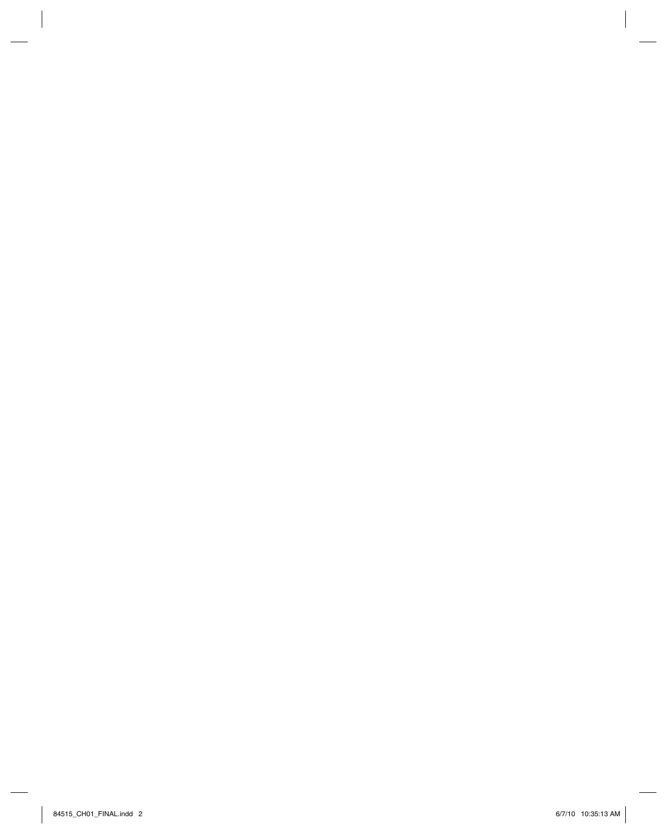$\overline{\phantom{a}}$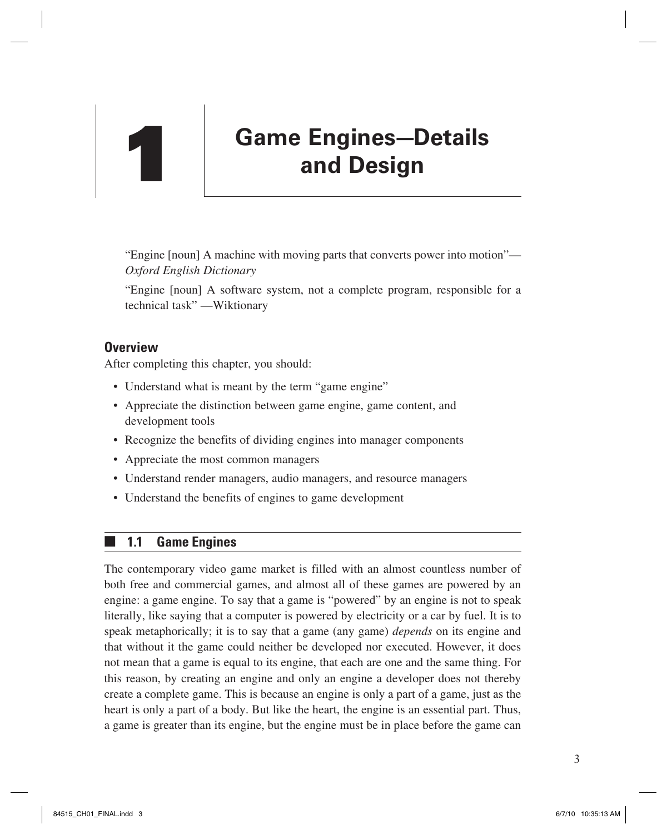# **Game Engines--Details<br>
<b>1 and Design**

"Engine [noun] A machine with moving parts that converts power into motion"— *Oxford English Dictionary*

"Engine [noun] A software system, not a complete program, responsible for a technical task" —Wiktionary

#### **Overview**

After completing this chapter, you should:

- Understand what is meant by the term "game engine"
- Appreciate the distinction between game engine, game content, and development tools
- Recognize the benefits of dividing engines into manager components
- Appreciate the most common managers
- Understand render managers, audio managers, and resource managers
- Understand the benefits of engines to game development

### ■ **1.1 Game Engines**

The contemporary video game market is filled with an almost countless number of both free and commercial games, and almost all of these games are powered by an engine: a game engine. To say that a game is "powered" by an engine is not to speak literally, like saying that a computer is powered by electricity or a car by fuel. It is to speak metaphorically; it is to say that a game (any game) *depends* on its engine and that without it the game could neither be developed nor executed. However, it does not mean that a game is equal to its engine, that each are one and the same thing. For this reason, by creating an engine and only an engine a developer does not thereby create a complete game. This is because an engine is only a part of a game, just as the heart is only a part of a body. But like the heart, the engine is an essential part. Thus, a game is greater than its engine, but the engine must be in place before the game can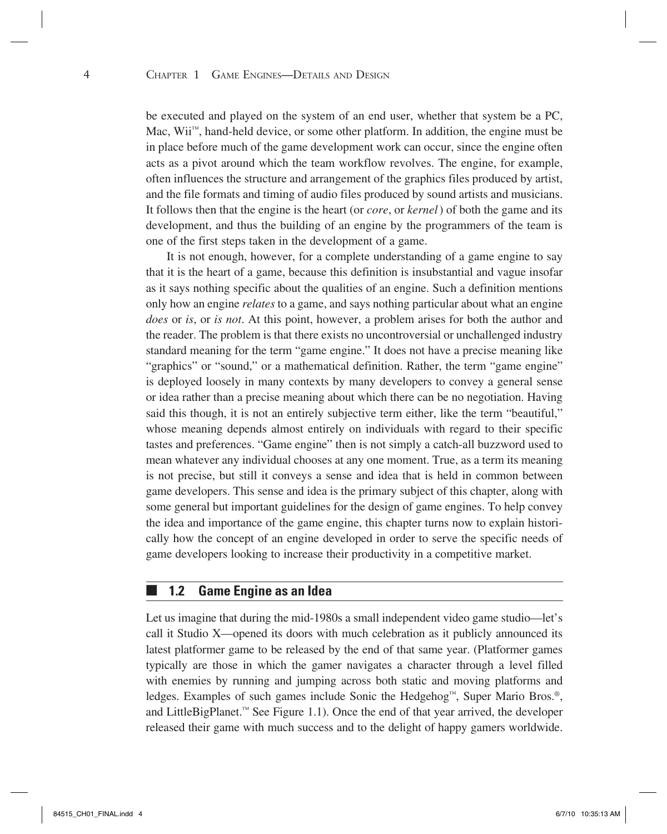be executed and played on the system of an end user, whether that system be a PC, Mac, Wii™, hand-held device, or some other platform. In addition, the engine must be in place before much of the game development work can occur, since the engine often acts as a pivot around which the team workflow revolves. The engine, for example, often influences the structure and arrangement of the graphics files produced by artist, and the file formats and timing of audio files produced by sound artists and musicians. It follows then that the engine is the heart (or *core*, or *kernel*) of both the game and its development, and thus the building of an engine by the programmers of the team is one of the first steps taken in the development of a game.

It is not enough, however, for a complete understanding of a game engine to say that it is the heart of a game, because this definition is insubstantial and vague insofar as it says nothing specific about the qualities of an engine. Such a definition mentions only how an engine *relates* to a game, and says nothing particular about what an engine *does* or *is*, or *is not*. At this point, however, a problem arises for both the author and the reader. The problem is that there exists no uncontroversial or unchallenged industry standard meaning for the term "game engine." It does not have a precise meaning like "graphics" or "sound," or a mathematical definition. Rather, the term "game engine" is deployed loosely in many contexts by many developers to convey a general sense or idea rather than a precise meaning about which there can be no negotiation. Having said this though, it is not an entirely subjective term either, like the term "beautiful," whose meaning depends almost entirely on individuals with regard to their specific tastes and preferences. "Game engine" then is not simply a catch-all buzzword used to mean whatever any individual chooses at any one moment. True, as a term its meaning is not precise, but still it conveys a sense and idea that is held in common between game developers. This sense and idea is the primary subject of this chapter, along with some general but important guidelines for the design of game engines. To help convey the idea and importance of the game engine, this chapter turns now to explain historically how the concept of an engine developed in order to serve the specific needs of game developers looking to increase their productivity in a competitive market.

#### ■ **1.2 Game Engine as an Idea**

Let us imagine that during the mid-1980s a small independent video game studio—let's call it Studio X—opened its doors with much celebration as it publicly announced its latest platformer game to be released by the end of that same year. (Platformer games typically are those in which the gamer navigates a character through a level filled with enemies by running and jumping across both static and moving platforms and ledges. Examples of such games include Sonic the Hedgehog™, Super Mario Bros.®, and LittleBigPlanet.<sup>™</sup> See Figure 1.1). Once the end of that year arrived, the developer released their game with much success and to the delight of happy gamers worldwide.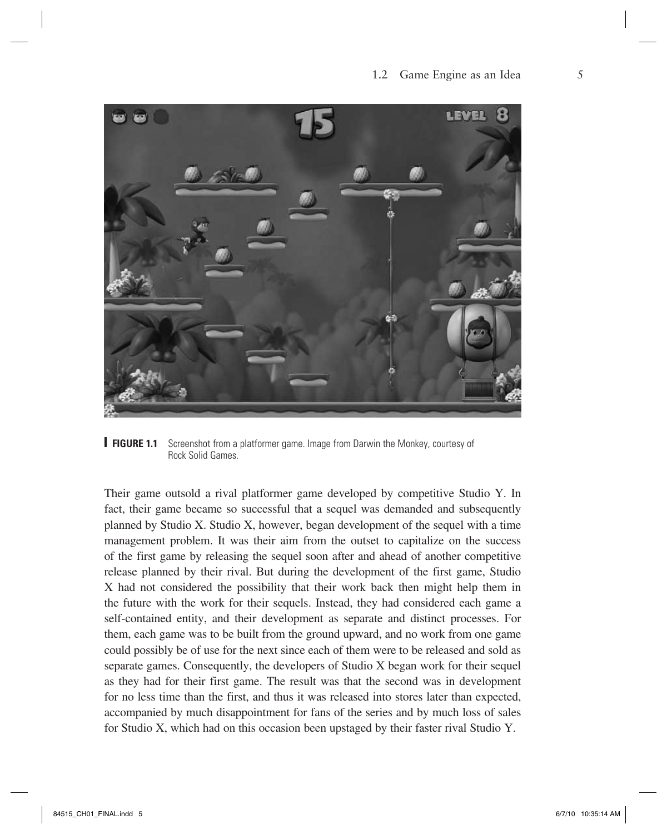

**FIGURE 1.1** Screenshot from a platformer game. Image from Darwin the Monkey, courtesy of Rock Solid Games.

Their game outsold a rival platformer game developed by competitive Studio Y. In fact, their game became so successful that a sequel was demanded and subsequently planned by Studio X. Studio X, however, began development of the sequel with a time management problem. It was their aim from the outset to capitalize on the success of the first game by releasing the sequel soon after and ahead of another competitive release planned by their rival. But during the development of the first game, Studio X had not considered the possibility that their work back then might help them in the future with the work for their sequels. Instead, they had considered each game a self-contained entity, and their development as separate and distinct processes. For them, each game was to be built from the ground upward, and no work from one game could possibly be of use for the next since each of them were to be released and sold as separate games. Consequently, the developers of Studio X began work for their sequel as they had for their first game. The result was that the second was in development for no less time than the first, and thus it was released into stores later than expected, accompanied by much disappointment for fans of the series and by much loss of sales for Studio X, which had on this occasion been upstaged by their faster rival Studio Y.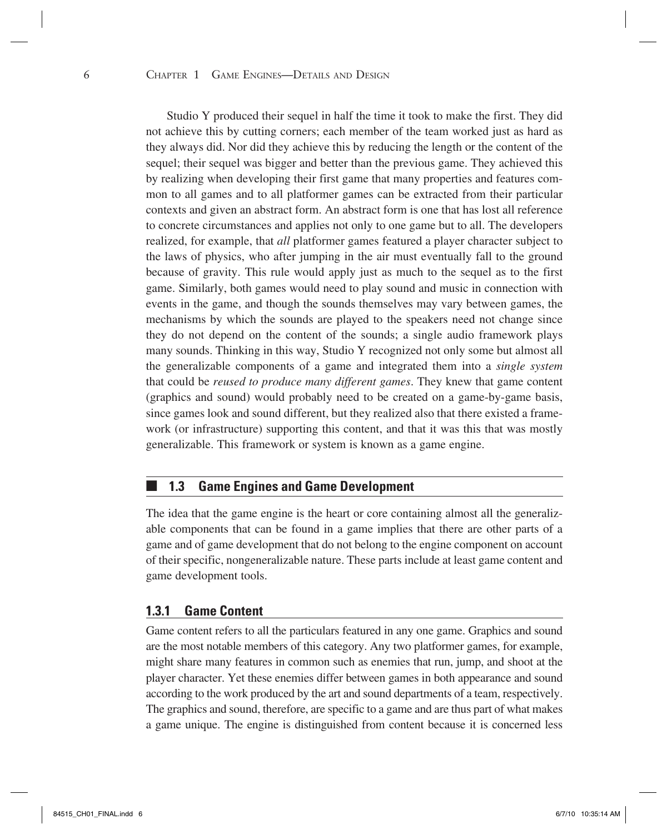#### 6 Chapter 1 Game Engines—Details and Design

Studio Y produced their sequel in half the time it took to make the first. They did not achieve this by cutting corners; each member of the team worked just as hard as they always did. Nor did they achieve this by reducing the length or the content of the sequel; their sequel was bigger and better than the previous game. They achieved this by realizing when developing their first game that many properties and features common to all games and to all platformer games can be extracted from their particular contexts and given an abstract form. An abstract form is one that has lost all reference to concrete circumstances and applies not only to one game but to all. The developers realized, for example, that *all* platformer games featured a player character subject to the laws of physics, who after jumping in the air must eventually fall to the ground because of gravity. This rule would apply just as much to the sequel as to the first game. Similarly, both games would need to play sound and music in connection with events in the game, and though the sounds themselves may vary between games, the mechanisms by which the sounds are played to the speakers need not change since they do not depend on the content of the sounds; a single audio framework plays many sounds. Thinking in this way, Studio Y recognized not only some but almost all the generalizable components of a game and integrated them into a *single system* that could be *reused to produce many different games*. They knew that game content (graphics and sound) would probably need to be created on a game-by-game basis, since games look and sound different, but they realized also that there existed a framework (or infrastructure) supporting this content, and that it was this that was mostly generalizable. This framework or system is known as a game engine.

#### ■ **1.3 Game Engines and Game Development**

The idea that the game engine is the heart or core containing almost all the generalizable components that can be found in a game implies that there are other parts of a game and of game development that do not belong to the engine component on account of their specific, nongeneralizable nature. These parts include at least game content and game development tools.

#### **1.3.1 Game Content**

Game content refers to all the particulars featured in any one game. Graphics and sound are the most notable members of this category. Any two platformer games, for example, might share many features in common such as enemies that run, jump, and shoot at the player character. Yet these enemies differ between games in both appearance and sound according to the work produced by the art and sound departments of a team, respectively. The graphics and sound, therefore, are specific to a game and are thus part of what makes a game unique. The engine is distinguished from content because it is concerned less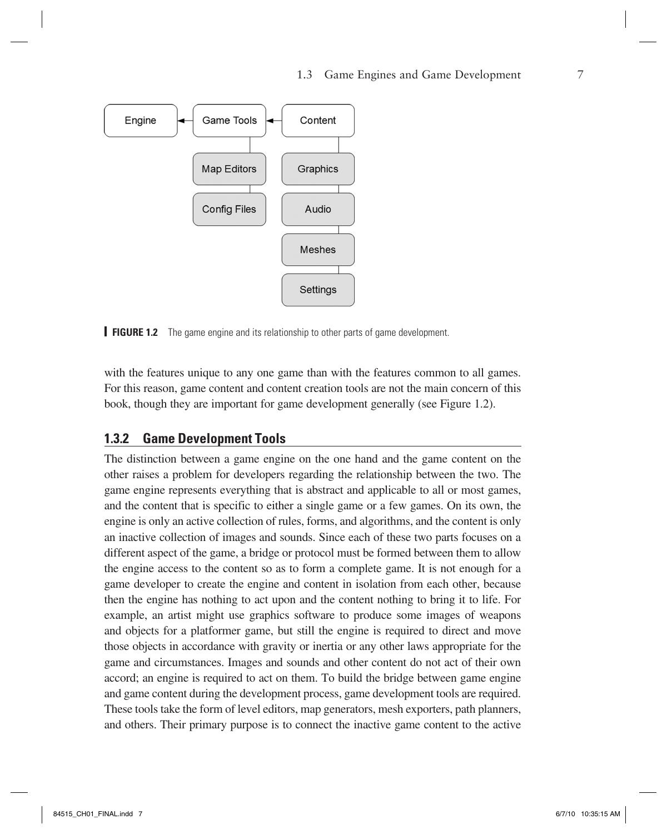

**FIGURE 1.2** The game engine and its relationship to other parts of game development.

with the features unique to any one game than with the features common to all games. For this reason, game content and content creation tools are not the main concern of this book, though they are important for game development generally (see Figure 1.2).

#### **1.3.2 Game Development Tools**

The distinction between a game engine on the one hand and the game content on the other raises a problem for developers regarding the relationship between the two. The game engine represents everything that is abstract and applicable to all or most games, and the content that is specific to either a single game or a few games. On its own, the engine is only an active collection of rules, forms, and algorithms, and the content is only an inactive collection of images and sounds. Since each of these two parts focuses on a different aspect of the game, a bridge or protocol must be formed between them to allow the engine access to the content so as to form a complete game. It is not enough for a game developer to create the engine and content in isolation from each other, because then the engine has nothing to act upon and the content nothing to bring it to life. For example, an artist might use graphics software to produce some images of weapons and objects for a platformer game, but still the engine is required to direct and move those objects in accordance with gravity or inertia or any other laws appropriate for the game and circumstances. Images and sounds and other content do not act of their own accord; an engine is required to act on them. To build the bridge between game engine and game content during the development process, game development tools are required. These tools take the form of level editors, map generators, mesh exporters, path planners, and others. Their primary purpose is to connect the inactive game content to the active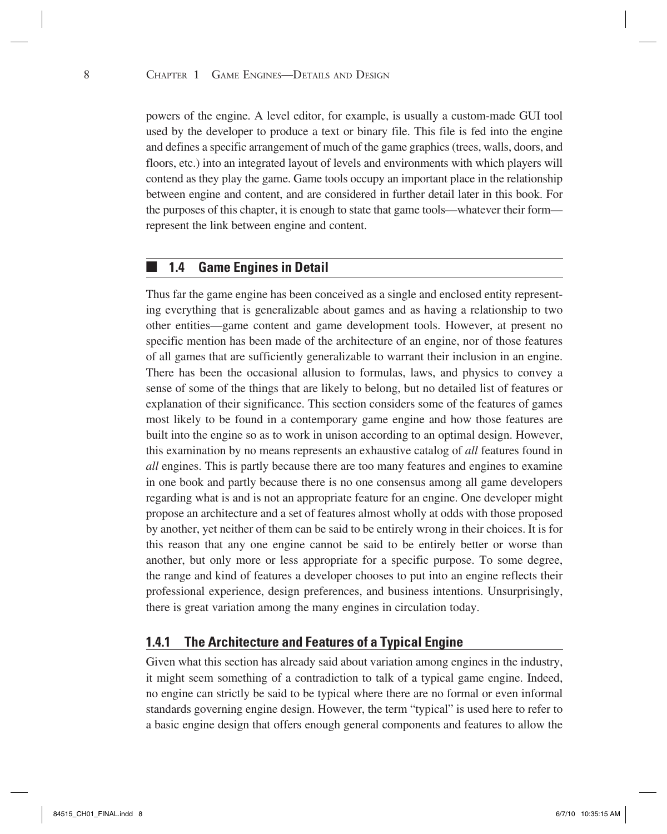powers of the engine. A level editor, for example, is usually a custom-made GUI tool used by the developer to produce a text or binary file. This file is fed into the engine and defines a specific arrangement of much of the game graphics (trees, walls, doors, and floors, etc.) into an integrated layout of levels and environments with which players will contend as they play the game. Game tools occupy an important place in the relationship between engine and content, and are considered in further detail later in this book. For the purposes of this chapter, it is enough to state that game tools—whatever their form represent the link between engine and content.

#### ■ **1.4 Game Engines in Detail**

Thus far the game engine has been conceived as a single and enclosed entity representing everything that is generalizable about games and as having a relationship to two other entities—game content and game development tools. However, at present no specific mention has been made of the architecture of an engine, nor of those features of all games that are sufficiently generalizable to warrant their inclusion in an engine. There has been the occasional allusion to formulas, laws, and physics to convey a sense of some of the things that are likely to belong, but no detailed list of features or explanation of their significance. This section considers some of the features of games most likely to be found in a contemporary game engine and how those features are built into the engine so as to work in unison according to an optimal design. However, this examination by no means represents an exhaustive catalog of *all* features found in *all* engines. This is partly because there are too many features and engines to examine in one book and partly because there is no one consensus among all game developers regarding what is and is not an appropriate feature for an engine. One developer might propose an architecture and a set of features almost wholly at odds with those proposed by another, yet neither of them can be said to be entirely wrong in their choices. It is for this reason that any one engine cannot be said to be entirely better or worse than another, but only more or less appropriate for a specific purpose. To some degree, the range and kind of features a developer chooses to put into an engine reflects their professional experience, design preferences, and business intentions. Unsurprisingly, there is great variation among the many engines in circulation today.

#### **1.4.1 The Architecture and Features of a Typical Engine**

Given what this section has already said about variation among engines in the industry, it might seem something of a contradiction to talk of a typical game engine. Indeed, no engine can strictly be said to be typical where there are no formal or even informal standards governing engine design. However, the term "typical" is used here to refer to a basic engine design that offers enough general components and features to allow the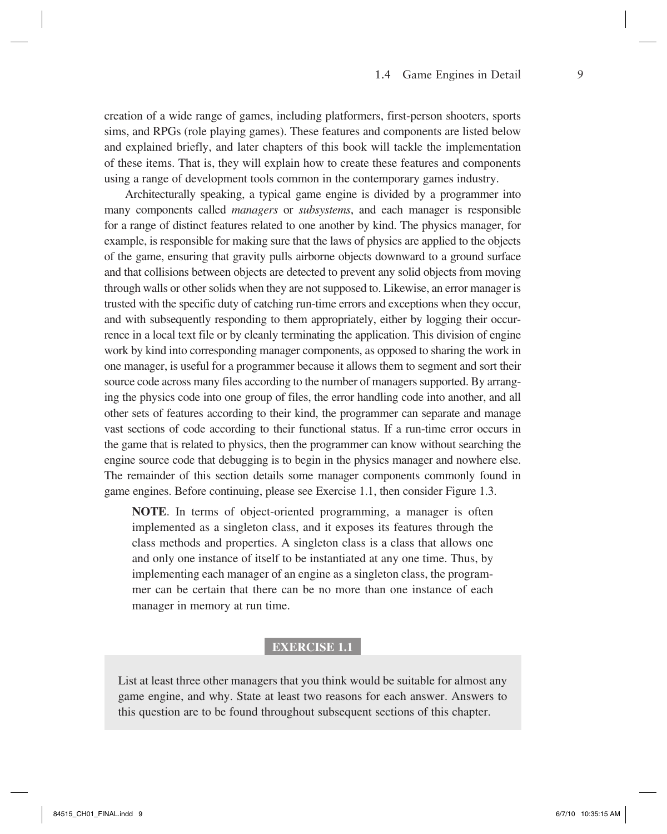creation of a wide range of games, including platformers, first-person shooters, sports sims, and RPGs (role playing games). These features and components are listed below and explained briefly, and later chapters of this book will tackle the implementation of these items. That is, they will explain how to create these features and components using a range of development tools common in the contemporary games industry.

Architecturally speaking, a typical game engine is divided by a programmer into many components called *managers* or *subsystems*, and each manager is responsible for a range of distinct features related to one another by kind. The physics manager, for example, is responsible for making sure that the laws of physics are applied to the objects of the game, ensuring that gravity pulls airborne objects downward to a ground surface and that collisions between objects are detected to prevent any solid objects from moving through walls or other solids when they are not supposed to. Likewise, an error manager is trusted with the specific duty of catching run-time errors and exceptions when they occur, and with subsequently responding to them appropriately, either by logging their occurrence in a local text file or by cleanly terminating the application. This division of engine work by kind into corresponding manager components, as opposed to sharing the work in one manager, is useful for a programmer because it allows them to segment and sort their source code across many files according to the number of managers supported. By arranging the physics code into one group of files, the error handling code into another, and all other sets of features according to their kind, the programmer can separate and manage vast sections of code according to their functional status. If a run-time error occurs in the game that is related to physics, then the programmer can know without searching the engine source code that debugging is to begin in the physics manager and nowhere else. The remainder of this section details some manager components commonly found in game engines. Before continuing, please see Exercise 1.1, then consider Figure 1.3.

**NOTE**. In terms of object-oriented programming, a manager is often implemented as a singleton class, and it exposes its features through the class methods and properties. A singleton class is a class that allows one and only one instance of itself to be instantiated at any one time. Thus, by implementing each manager of an engine as a singleton class, the programmer can be certain that there can be no more than one instance of each manager in memory at run time.

#### **EXERCISE 1.1**

List at least three other managers that you think would be suitable for almost any game engine, and why. State at least two reasons for each answer. Answers to this question are to be found throughout subsequent sections of this chapter.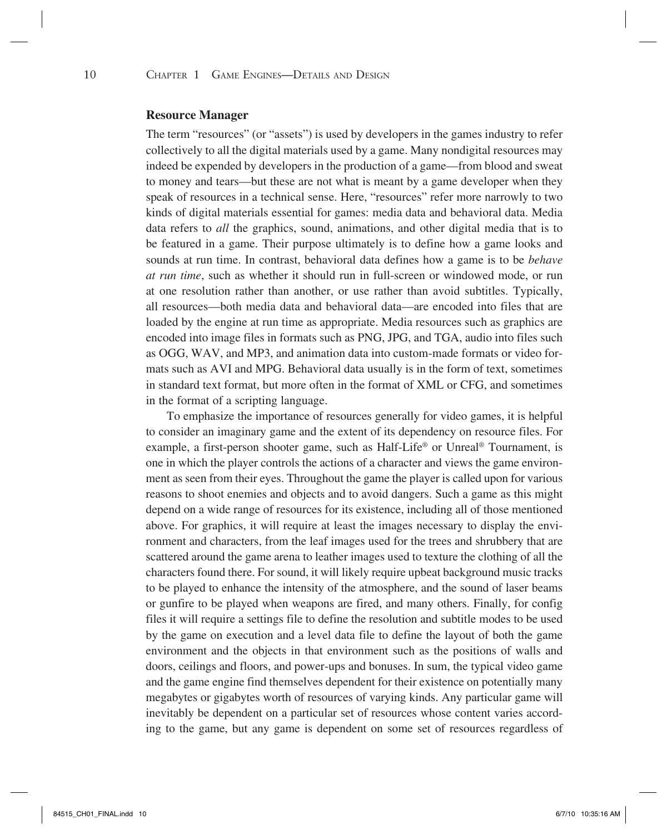#### 10 **CHAPTER 1 GAME ENGINES—DETAILS AND DESIGN**

#### **Resource Manager**

The term "resources" (or "assets") is used by developers in the games industry to refer collectively to all the digital materials used by a game. Many nondigital resources may indeed be expended by developers in the production of a game—from blood and sweat to money and tears—but these are not what is meant by a game developer when they speak of resources in a technical sense. Here, "resources" refer more narrowly to two kinds of digital materials essential for games: media data and behavioral data. Media data refers to *all* the graphics, sound, animations, and other digital media that is to be featured in a game. Their purpose ultimately is to define how a game looks and sounds at run time. In contrast, behavioral data defines how a game is to be *behave at run time*, such as whether it should run in full-screen or windowed mode, or run at one resolution rather than another, or use rather than avoid subtitles. Typically, all resources—both media data and behavioral data—are encoded into files that are loaded by the engine at run time as appropriate. Media resources such as graphics are encoded into image files in formats such as PNG, JPG, and TGA, audio into files such as OGG, WAV, and MP3, and animation data into custom-made formats or video formats such as AVI and MPG. Behavioral data usually is in the form of text, sometimes in standard text format, but more often in the format of XML or CFG, and sometimes in the format of a scripting language.

To emphasize the importance of resources generally for video games, it is helpful to consider an imaginary game and the extent of its dependency on resource files. For example, a first-person shooter game, such as Half-Life® or Unreal® Tournament, is one in which the player controls the actions of a character and views the game environment as seen from their eyes. Throughout the game the player is called upon for various reasons to shoot enemies and objects and to avoid dangers. Such a game as this might depend on a wide range of resources for its existence, including all of those mentioned above. For graphics, it will require at least the images necessary to display the environment and characters, from the leaf images used for the trees and shrubbery that are scattered around the game arena to leather images used to texture the clothing of all the characters found there. For sound, it will likely require upbeat background music tracks to be played to enhance the intensity of the atmosphere, and the sound of laser beams or gunfire to be played when weapons are fired, and many others. Finally, for config files it will require a settings file to define the resolution and subtitle modes to be used by the game on execution and a level data file to define the layout of both the game environment and the objects in that environment such as the positions of walls and doors, ceilings and floors, and power-ups and bonuses. In sum, the typical video game and the game engine find themselves dependent for their existence on potentially many megabytes or gigabytes worth of resources of varying kinds. Any particular game will inevitably be dependent on a particular set of resources whose content varies according to the game, but any game is dependent on some set of resources regardless of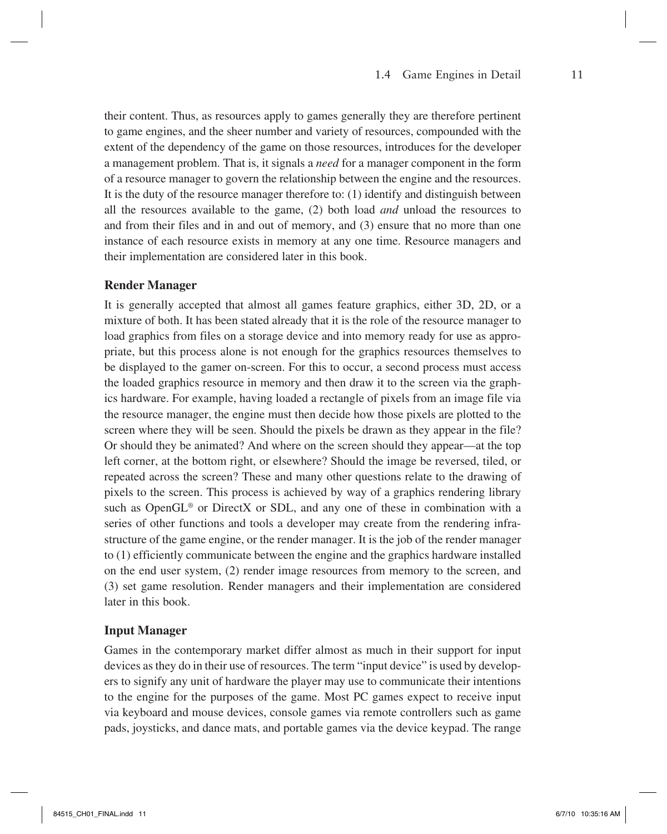their content. Thus, as resources apply to games generally they are therefore pertinent to game engines, and the sheer number and variety of resources, compounded with the extent of the dependency of the game on those resources, introduces for the developer a management problem. That is, it signals a *need* for a manager component in the form of a resource manager to govern the relationship between the engine and the resources. It is the duty of the resource manager therefore to: (1) identify and distinguish between all the resources available to the game, (2) both load *and* unload the resources to and from their files and in and out of memory, and (3) ensure that no more than one instance of each resource exists in memory at any one time. Resource managers and their implementation are considered later in this book.

#### **Render Manager**

It is generally accepted that almost all games feature graphics, either 3D, 2D, or a mixture of both. It has been stated already that it is the role of the resource manager to load graphics from files on a storage device and into memory ready for use as appropriate, but this process alone is not enough for the graphics resources themselves to be displayed to the gamer on-screen. For this to occur, a second process must access the loaded graphics resource in memory and then draw it to the screen via the graphics hardware. For example, having loaded a rectangle of pixels from an image file via the resource manager, the engine must then decide how those pixels are plotted to the screen where they will be seen. Should the pixels be drawn as they appear in the file? Or should they be animated? And where on the screen should they appear—at the top left corner, at the bottom right, or elsewhere? Should the image be reversed, tiled, or repeated across the screen? These and many other questions relate to the drawing of pixels to the screen. This process is achieved by way of a graphics rendering library such as OpenGL® or DirectX or SDL, and any one of these in combination with a series of other functions and tools a developer may create from the rendering infrastructure of the game engine, or the render manager. It is the job of the render manager to (1) efficiently communicate between the engine and the graphics hardware installed on the end user system, (2) render image resources from memory to the screen, and (3) set game resolution. Render managers and their implementation are considered later in this book.

#### **Input Manager**

Games in the contemporary market differ almost as much in their support for input devices as they do in their use of resources. The term "input device" is used by developers to signify any unit of hardware the player may use to communicate their intentions to the engine for the purposes of the game. Most PC games expect to receive input via keyboard and mouse devices, console games via remote controllers such as game pads, joysticks, and dance mats, and portable games via the device keypad. The range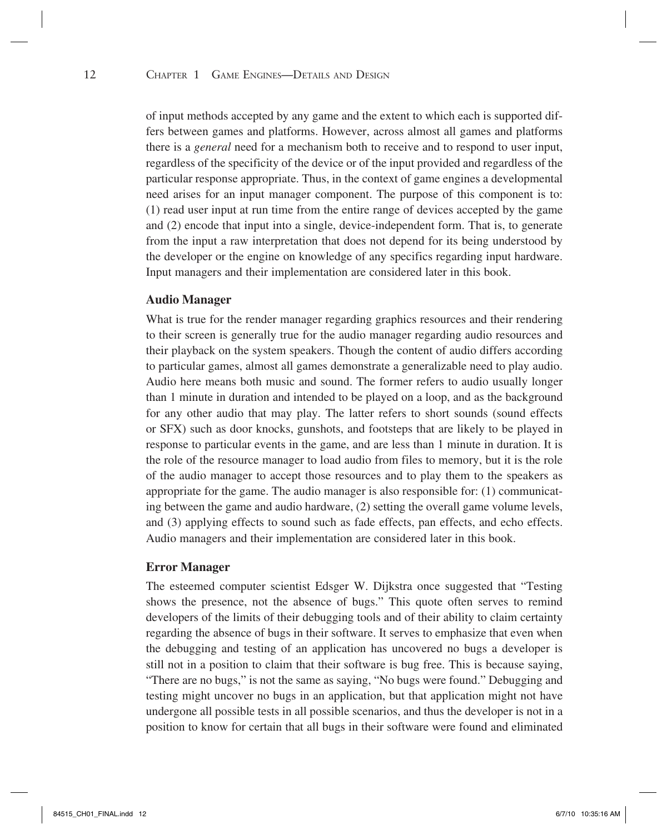of input methods accepted by any game and the extent to which each is supported differs between games and platforms. However, across almost all games and platforms there is a *general* need for a mechanism both to receive and to respond to user input, regardless of the specificity of the device or of the input provided and regardless of the particular response appropriate. Thus, in the context of game engines a developmental need arises for an input manager component. The purpose of this component is to: (1) read user input at run time from the entire range of devices accepted by the game and (2) encode that input into a single, device-independent form. That is, to generate from the input a raw interpretation that does not depend for its being understood by the developer or the engine on knowledge of any specifics regarding input hardware. Input managers and their implementation are considered later in this book.

#### **Audio Manager**

What is true for the render manager regarding graphics resources and their rendering to their screen is generally true for the audio manager regarding audio resources and their playback on the system speakers. Though the content of audio differs according to particular games, almost all games demonstrate a generalizable need to play audio. Audio here means both music and sound. The former refers to audio usually longer than 1 minute in duration and intended to be played on a loop, and as the background for any other audio that may play. The latter refers to short sounds (sound effects or SFX) such as door knocks, gunshots, and footsteps that are likely to be played in response to particular events in the game, and are less than 1 minute in duration. It is the role of the resource manager to load audio from files to memory, but it is the role of the audio manager to accept those resources and to play them to the speakers as appropriate for the game. The audio manager is also responsible for: (1) communicating between the game and audio hardware, (2) setting the overall game volume levels, and (3) applying effects to sound such as fade effects, pan effects, and echo effects. Audio managers and their implementation are considered later in this book.

#### **Error Manager**

The esteemed computer scientist Edsger W. Dijkstra once suggested that "Testing shows the presence, not the absence of bugs." This quote often serves to remind developers of the limits of their debugging tools and of their ability to claim certainty regarding the absence of bugs in their software. It serves to emphasize that even when the debugging and testing of an application has uncovered no bugs a developer is still not in a position to claim that their software is bug free. This is because saying, "There are no bugs," is not the same as saying, "No bugs were found." Debugging and testing might uncover no bugs in an application, but that application might not have undergone all possible tests in all possible scenarios, and thus the developer is not in a position to know for certain that all bugs in their software were found and eliminated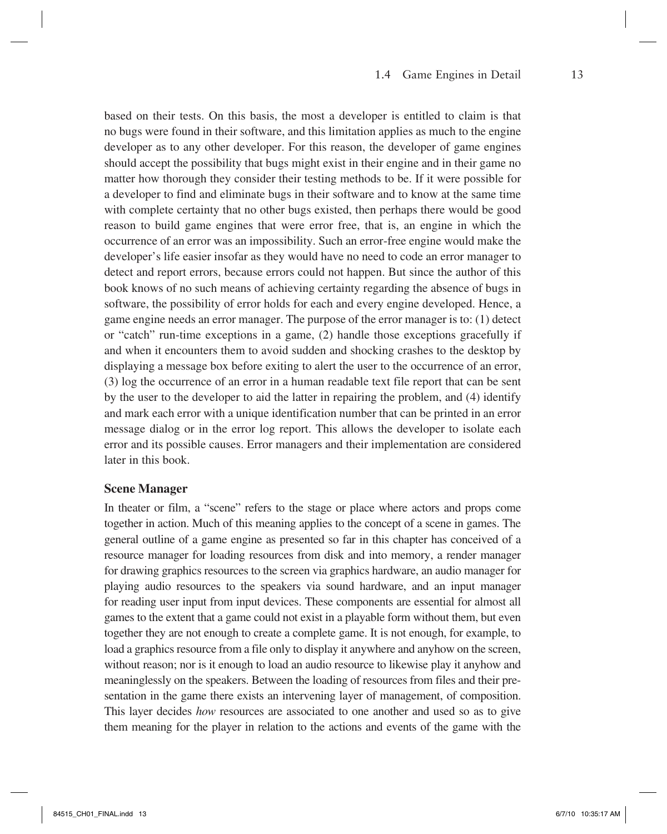based on their tests. On this basis, the most a developer is entitled to claim is that no bugs were found in their software, and this limitation applies as much to the engine developer as to any other developer. For this reason, the developer of game engines should accept the possibility that bugs might exist in their engine and in their game no matter how thorough they consider their testing methods to be. If it were possible for a developer to find and eliminate bugs in their software and to know at the same time with complete certainty that no other bugs existed, then perhaps there would be good reason to build game engines that were error free, that is, an engine in which the occurrence of an error was an impossibility. Such an error-free engine would make the developer's life easier insofar as they would have no need to code an error manager to detect and report errors, because errors could not happen. But since the author of this book knows of no such means of achieving certainty regarding the absence of bugs in software, the possibility of error holds for each and every engine developed. Hence, a game engine needs an error manager. The purpose of the error manager is to: (1) detect or "catch" run-time exceptions in a game, (2) handle those exceptions gracefully if and when it encounters them to avoid sudden and shocking crashes to the desktop by displaying a message box before exiting to alert the user to the occurrence of an error, (3) log the occurrence of an error in a human readable text file report that can be sent by the user to the developer to aid the latter in repairing the problem, and (4) identify and mark each error with a unique identification number that can be printed in an error message dialog or in the error log report. This allows the developer to isolate each error and its possible causes. Error managers and their implementation are considered later in this book.

#### **Scene Manager**

In theater or film, a "scene" refers to the stage or place where actors and props come together in action. Much of this meaning applies to the concept of a scene in games. The general outline of a game engine as presented so far in this chapter has conceived of a resource manager for loading resources from disk and into memory, a render manager for drawing graphics resources to the screen via graphics hardware, an audio manager for playing audio resources to the speakers via sound hardware, and an input manager for reading user input from input devices. These components are essential for almost all games to the extent that a game could not exist in a playable form without them, but even together they are not enough to create a complete game. It is not enough, for example, to load a graphics resource from a file only to display it anywhere and anyhow on the screen, without reason; nor is it enough to load an audio resource to likewise play it anyhow and meaninglessly on the speakers. Between the loading of resources from files and their presentation in the game there exists an intervening layer of management, of composition. This layer decides *how* resources are associated to one another and used so as to give them meaning for the player in relation to the actions and events of the game with the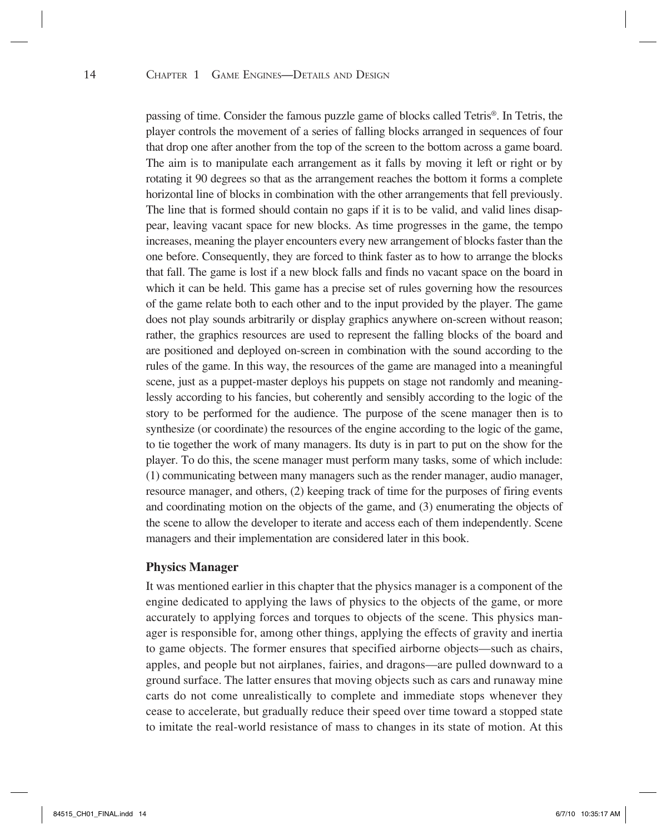passing of time. Consider the famous puzzle game of blocks called Tetris®. In Tetris, the player controls the movement of a series of falling blocks arranged in sequences of four that drop one after another from the top of the screen to the bottom across a game board. The aim is to manipulate each arrangement as it falls by moving it left or right or by rotating it 90 degrees so that as the arrangement reaches the bottom it forms a complete horizontal line of blocks in combination with the other arrangements that fell previously. The line that is formed should contain no gaps if it is to be valid, and valid lines disappear, leaving vacant space for new blocks. As time progresses in the game, the tempo increases, meaning the player encounters every new arrangement of blocks faster than the one before. Consequently, they are forced to think faster as to how to arrange the blocks that fall. The game is lost if a new block falls and finds no vacant space on the board in which it can be held. This game has a precise set of rules governing how the resources of the game relate both to each other and to the input provided by the player. The game does not play sounds arbitrarily or display graphics anywhere on-screen without reason; rather, the graphics resources are used to represent the falling blocks of the board and are positioned and deployed on-screen in combination with the sound according to the rules of the game. In this way, the resources of the game are managed into a meaningful scene, just as a puppet-master deploys his puppets on stage not randomly and meaninglessly according to his fancies, but coherently and sensibly according to the logic of the story to be performed for the audience. The purpose of the scene manager then is to synthesize (or coordinate) the resources of the engine according to the logic of the game, to tie together the work of many managers. Its duty is in part to put on the show for the player. To do this, the scene manager must perform many tasks, some of which include: (1) communicating between many managers such as the render manager, audio manager, resource manager, and others, (2) keeping track of time for the purposes of firing events and coordinating motion on the objects of the game, and (3) enumerating the objects of the scene to allow the developer to iterate and access each of them independently. Scene managers and their implementation are considered later in this book.

#### **Physics Manager**

It was mentioned earlier in this chapter that the physics manager is a component of the engine dedicated to applying the laws of physics to the objects of the game, or more accurately to applying forces and torques to objects of the scene. This physics manager is responsible for, among other things, applying the effects of gravity and inertia to game objects. The former ensures that specified airborne objects—such as chairs, apples, and people but not airplanes, fairies, and dragons—are pulled downward to a ground surface. The latter ensures that moving objects such as cars and runaway mine carts do not come unrealistically to complete and immediate stops whenever they cease to accelerate, but gradually reduce their speed over time toward a stopped state to imitate the real-world resistance of mass to changes in its state of motion. At this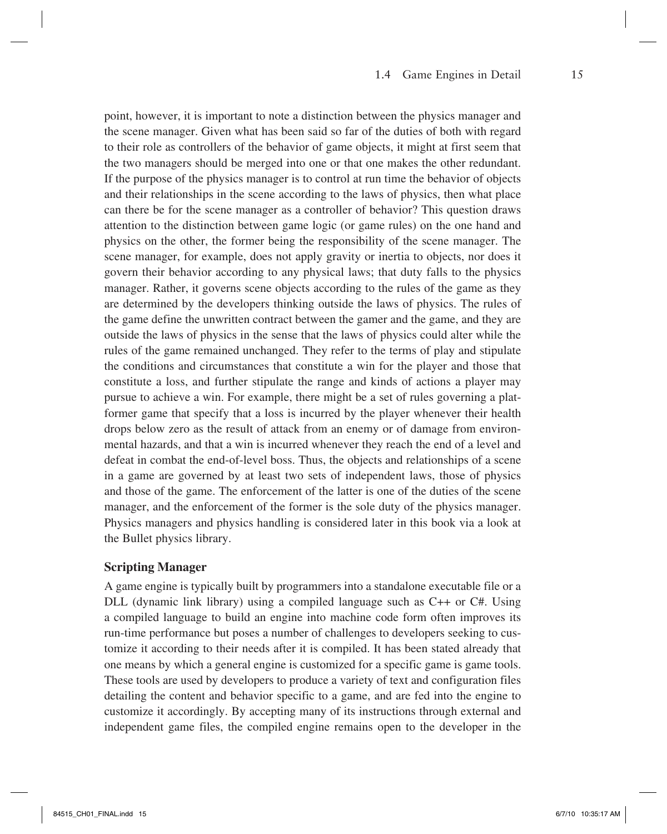point, however, it is important to note a distinction between the physics manager and the scene manager. Given what has been said so far of the duties of both with regard to their role as controllers of the behavior of game objects, it might at first seem that the two managers should be merged into one or that one makes the other redundant. If the purpose of the physics manager is to control at run time the behavior of objects and their relationships in the scene according to the laws of physics, then what place can there be for the scene manager as a controller of behavior? This question draws attention to the distinction between game logic (or game rules) on the one hand and physics on the other, the former being the responsibility of the scene manager. The scene manager, for example, does not apply gravity or inertia to objects, nor does it govern their behavior according to any physical laws; that duty falls to the physics manager. Rather, it governs scene objects according to the rules of the game as they are determined by the developers thinking outside the laws of physics. The rules of the game define the unwritten contract between the gamer and the game, and they are outside the laws of physics in the sense that the laws of physics could alter while the rules of the game remained unchanged. They refer to the terms of play and stipulate the conditions and circumstances that constitute a win for the player and those that constitute a loss, and further stipulate the range and kinds of actions a player may pursue to achieve a win. For example, there might be a set of rules governing a platformer game that specify that a loss is incurred by the player whenever their health drops below zero as the result of attack from an enemy or of damage from environmental hazards, and that a win is incurred whenever they reach the end of a level and defeat in combat the end-of-level boss. Thus, the objects and relationships of a scene in a game are governed by at least two sets of independent laws, those of physics and those of the game. The enforcement of the latter is one of the duties of the scene manager, and the enforcement of the former is the sole duty of the physics manager. Physics managers and physics handling is considered later in this book via a look at the Bullet physics library.

#### **Scripting Manager**

A game engine is typically built by programmers into a standalone executable file or a DLL (dynamic link library) using a compiled language such as C++ or C#. Using a compiled language to build an engine into machine code form often improves its run-time performance but poses a number of challenges to developers seeking to customize it according to their needs after it is compiled. It has been stated already that one means by which a general engine is customized for a specific game is game tools. These tools are used by developers to produce a variety of text and configuration files detailing the content and behavior specific to a game, and are fed into the engine to customize it accordingly. By accepting many of its instructions through external and independent game files, the compiled engine remains open to the developer in the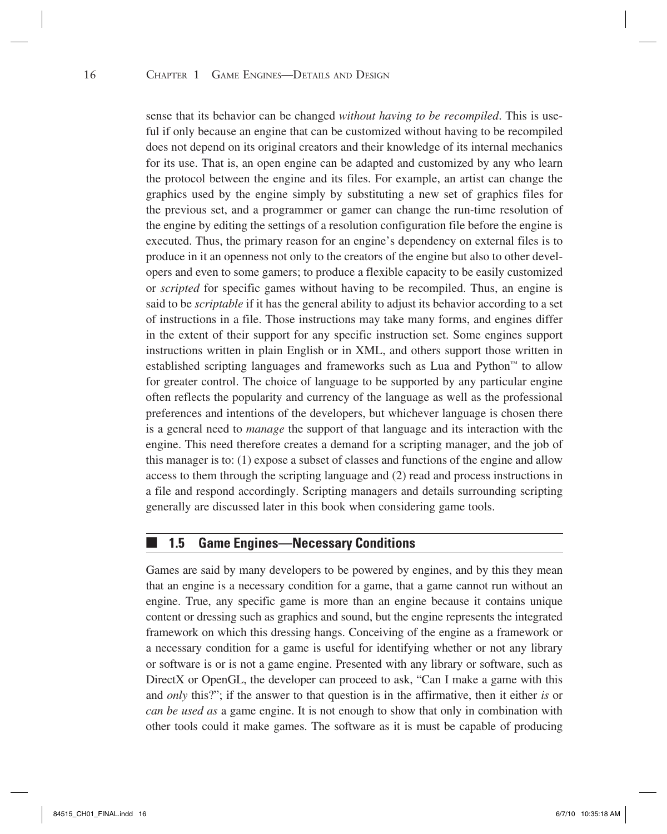sense that its behavior can be changed *without having to be recompiled*. This is useful if only because an engine that can be customized without having to be recompiled does not depend on its original creators and their knowledge of its internal mechanics for its use. That is, an open engine can be adapted and customized by any who learn the protocol between the engine and its files. For example, an artist can change the graphics used by the engine simply by substituting a new set of graphics files for the previous set, and a programmer or gamer can change the run-time resolution of the engine by editing the settings of a resolution configuration file before the engine is executed. Thus, the primary reason for an engine's dependency on external files is to produce in it an openness not only to the creators of the engine but also to other developers and even to some gamers; to produce a flexible capacity to be easily customized or *scripted* for specific games without having to be recompiled. Thus, an engine is said to be *scriptable* if it has the general ability to adjust its behavior according to a set of instructions in a file. Those instructions may take many forms, and engines differ in the extent of their support for any specific instruction set. Some engines support instructions written in plain English or in XML, and others support those written in established scripting languages and frameworks such as Lua and Python™ to allow for greater control. The choice of language to be supported by any particular engine often reflects the popularity and currency of the language as well as the professional preferences and intentions of the developers, but whichever language is chosen there is a general need to *manage* the support of that language and its interaction with the engine. This need therefore creates a demand for a scripting manager, and the job of this manager is to: (1) expose a subset of classes and functions of the engine and allow access to them through the scripting language and (2) read and process instructions in a file and respond accordingly. Scripting managers and details surrounding scripting generally are discussed later in this book when considering game tools.

#### ■ **1.5 Game Engines—Necessary Conditions**

Games are said by many developers to be powered by engines, and by this they mean that an engine is a necessary condition for a game, that a game cannot run without an engine. True, any specific game is more than an engine because it contains unique content or dressing such as graphics and sound, but the engine represents the integrated framework on which this dressing hangs. Conceiving of the engine as a framework or a necessary condition for a game is useful for identifying whether or not any library or software is or is not a game engine. Presented with any library or software, such as DirectX or OpenGL, the developer can proceed to ask, "Can I make a game with this and *only* this?"; if the answer to that question is in the affirmative, then it either *is* or *can be used as* a game engine. It is not enough to show that only in combination with other tools could it make games. The software as it is must be capable of producing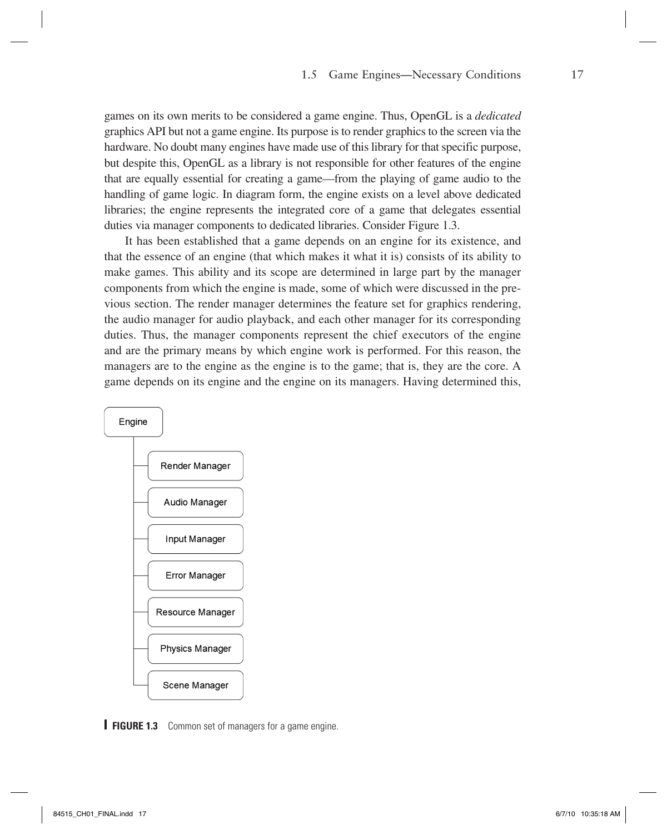games on its own merits to be considered a game engine. Thus, OpenGL is a *dedicated* graphics API but not a game engine. Its purpose is to render graphics to the screen via the hardware. No doubt many engines have made use of this library for that specific purpose, but despite this, OpenGL as a library is not responsible for other features of the engine that are equally essential for creating a game—from the playing of game audio to the handling of game logic. In diagram form, the engine exists on a level above dedicated libraries; the engine represents the integrated core of a game that delegates essential duties via manager components to dedicated libraries. Consider Figure 1.3.

It has been established that a game depends on an engine for its existence, and that the essence of an engine (that which makes it what it is) consists of its ability to make games. This ability and its scope are determined in large part by the manager components from which the engine is made, some of which were discussed in the previous section. The render manager determines the feature set for graphics rendering, the audio manager for audio playback, and each other manager for its corresponding duties. Thus, the manager components represent the chief executors of the engine and are the primary means by which engine work is performed. For this reason, the managers are to the engine as the engine is to the game; that is, they are the core. A game depends on its engine and the engine on its managers. Having determined this,



**FIGURE 1.3** Common set of managers for a game engine.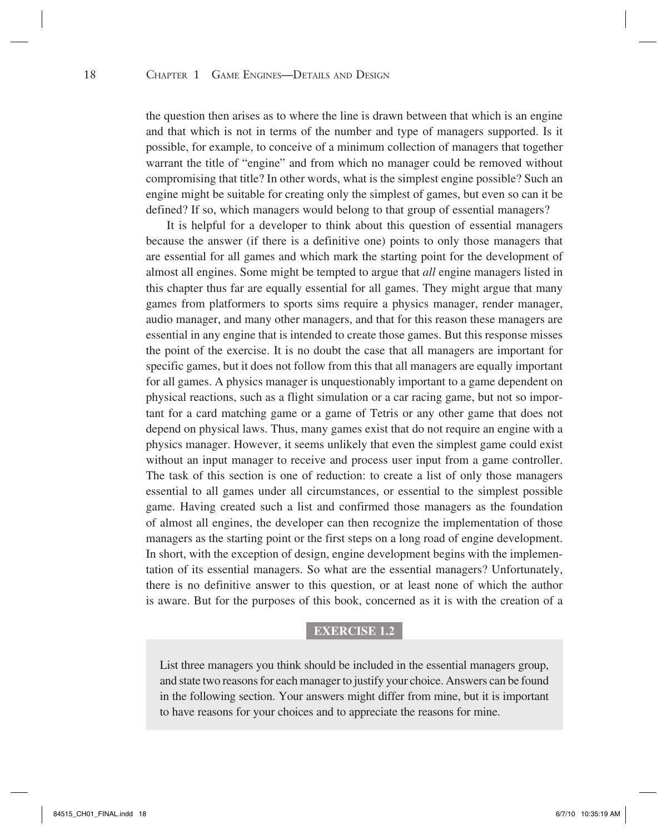the question then arises as to where the line is drawn between that which is an engine and that which is not in terms of the number and type of managers supported. Is it possible, for example, to conceive of a minimum collection of managers that together warrant the title of "engine" and from which no manager could be removed without compromising that title? In other words, what is the simplest engine possible? Such an engine might be suitable for creating only the simplest of games, but even so can it be defined? If so, which managers would belong to that group of essential managers?

It is helpful for a developer to think about this question of essential managers because the answer (if there is a definitive one) points to only those managers that are essential for all games and which mark the starting point for the development of almost all engines. Some might be tempted to argue that *all* engine managers listed in this chapter thus far are equally essential for all games. They might argue that many games from platformers to sports sims require a physics manager, render manager, audio manager, and many other managers, and that for this reason these managers are essential in any engine that is intended to create those games. But this response misses the point of the exercise. It is no doubt the case that all managers are important for specific games, but it does not follow from this that all managers are equally important for all games. A physics manager is unquestionably important to a game dependent on physical reactions, such as a flight simulation or a car racing game, but not so important for a card matching game or a game of Tetris or any other game that does not depend on physical laws. Thus, many games exist that do not require an engine with a physics manager. However, it seems unlikely that even the simplest game could exist without an input manager to receive and process user input from a game controller. The task of this section is one of reduction: to create a list of only those managers essential to all games under all circumstances, or essential to the simplest possible game. Having created such a list and confirmed those managers as the foundation of almost all engines, the developer can then recognize the implementation of those managers as the starting point or the first steps on a long road of engine development. In short, with the exception of design, engine development begins with the implementation of its essential managers. So what are the essential managers? Unfortunately, there is no definitive answer to this question, or at least none of which the author is aware. But for the purposes of this book, concerned as it is with the creation of a

#### **EXERCISE 1.2**

List three managers you think should be included in the essential managers group, and state two reasons for each manager to justify your choice. Answers can be found in the following section. Your answers might differ from mine, but it is important to have reasons for your choices and to appreciate the reasons for mine.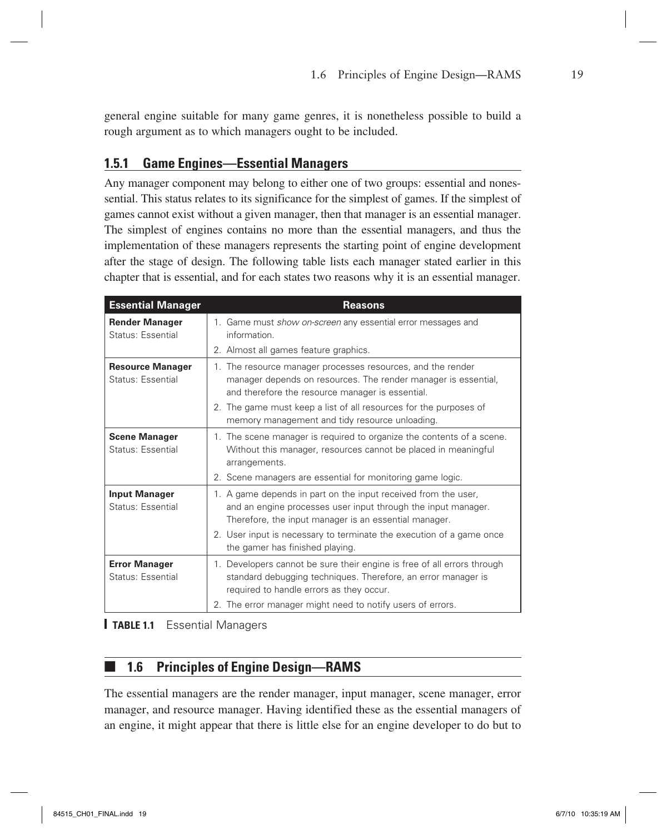general engine suitable for many game genres, it is nonetheless possible to build a rough argument as to which managers ought to be included.

#### **1.5.1 Game Engines—Essential Managers**

Any manager component may belong to either one of two groups: essential and nonessential. This status relates to its significance for the simplest of games. If the simplest of games cannot exist without a given manager, then that manager is an essential manager. The simplest of engines contains no more than the essential managers, and thus the implementation of these managers represents the starting point of engine development after the stage of design. The following table lists each manager stated earlier in this chapter that is essential, and for each states two reasons why it is an essential manager.

| <b>Essential Manager</b>                     | <b>Reasons</b>                                                                                                                                                                                                                                                   |
|----------------------------------------------|------------------------------------------------------------------------------------------------------------------------------------------------------------------------------------------------------------------------------------------------------------------|
| <b>Render Manager</b><br>Status: Essential   | 1. Game must show on-screen any essential error messages and<br>information.                                                                                                                                                                                     |
|                                              | 2. Almost all games feature graphics.                                                                                                                                                                                                                            |
| <b>Resource Manager</b><br>Status: Essential | 1. The resource manager processes resources, and the render<br>manager depends on resources. The render manager is essential,<br>and therefore the resource manager is essential.                                                                                |
|                                              | 2. The game must keep a list of all resources for the purposes of<br>memory management and tidy resource unloading.                                                                                                                                              |
| <b>Scene Manager</b><br>Status: Essential    | 1. The scene manager is required to organize the contents of a scene.<br>Without this manager, resources cannot be placed in meaningful<br>arrangements.                                                                                                         |
|                                              | 2. Scene managers are essential for monitoring game logic.                                                                                                                                                                                                       |
| <b>Input Manager</b><br>Status: Essential    | 1. A game depends in part on the input received from the user,<br>and an engine processes user input through the input manager.<br>Therefore, the input manager is an essential manager.<br>2. User input is necessary to terminate the execution of a game once |
|                                              | the gamer has finished playing.                                                                                                                                                                                                                                  |
| <b>Error Manager</b><br>Status: Essential    | 1. Developers cannot be sure their engine is free of all errors through<br>standard debugging techniques. Therefore, an error manager is<br>required to handle errors as they occur.                                                                             |
|                                              | 2. The error manager might need to notify users of errors.                                                                                                                                                                                                       |

**TABLE 1.1** Essential Managers

#### ■ **1.6 Principles of Engine Design—RAMS**

The essential managers are the render manager, input manager, scene manager, error manager, and resource manager. Having identified these as the essential managers of an engine, it might appear that there is little else for an engine developer to do but to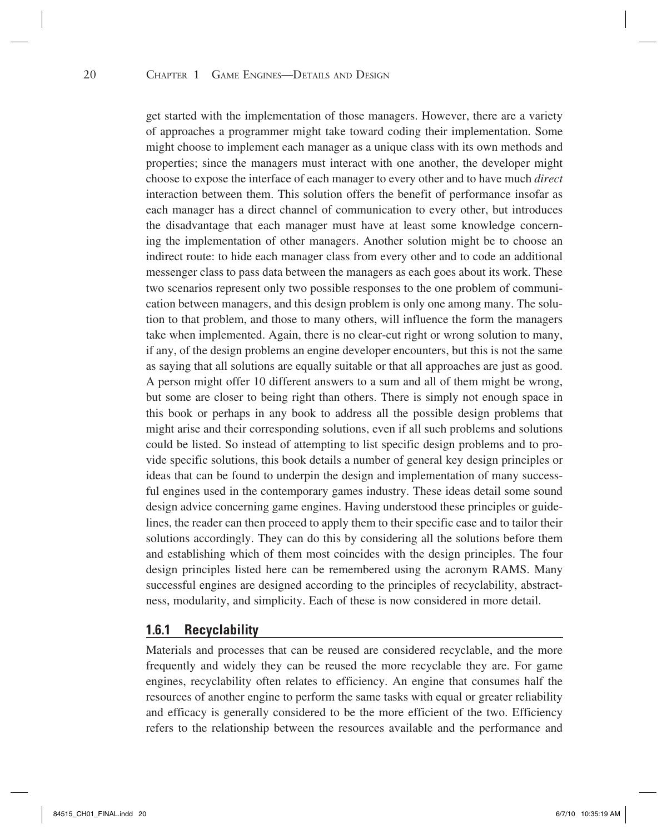get started with the implementation of those managers. However, there are a variety of approaches a programmer might take toward coding their implementation. Some might choose to implement each manager as a unique class with its own methods and properties; since the managers must interact with one another, the developer might choose to expose the interface of each manager to every other and to have much *direct* interaction between them. This solution offers the benefit of performance insofar as each manager has a direct channel of communication to every other, but introduces the disadvantage that each manager must have at least some knowledge concerning the implementation of other managers. Another solution might be to choose an indirect route: to hide each manager class from every other and to code an additional messenger class to pass data between the managers as each goes about its work. These two scenarios represent only two possible responses to the one problem of communication between managers, and this design problem is only one among many. The solution to that problem, and those to many others, will influence the form the managers take when implemented. Again, there is no clear-cut right or wrong solution to many, if any, of the design problems an engine developer encounters, but this is not the same as saying that all solutions are equally suitable or that all approaches are just as good. A person might offer 10 different answers to a sum and all of them might be wrong, but some are closer to being right than others. There is simply not enough space in this book or perhaps in any book to address all the possible design problems that might arise and their corresponding solutions, even if all such problems and solutions could be listed. So instead of attempting to list specific design problems and to provide specific solutions, this book details a number of general key design principles or ideas that can be found to underpin the design and implementation of many successful engines used in the contemporary games industry. These ideas detail some sound design advice concerning game engines. Having understood these principles or guidelines, the reader can then proceed to apply them to their specific case and to tailor their solutions accordingly. They can do this by considering all the solutions before them and establishing which of them most coincides with the design principles. The four design principles listed here can be remembered using the acronym RAMS. Many successful engines are designed according to the principles of recyclability, abstractness, modularity, and simplicity. Each of these is now considered in more detail.

#### **1.6.1 Recyclability**

Materials and processes that can be reused are considered recyclable, and the more frequently and widely they can be reused the more recyclable they are. For game engines, recyclability often relates to efficiency. An engine that consumes half the resources of another engine to perform the same tasks with equal or greater reliability and efficacy is generally considered to be the more efficient of the two. Efficiency refers to the relationship between the resources available and the performance and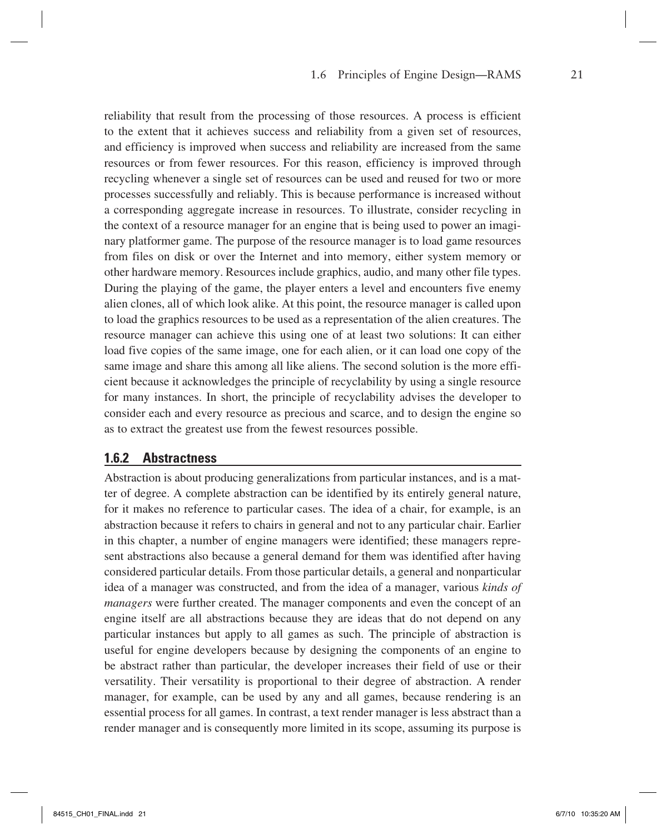reliability that result from the processing of those resources. A process is efficient to the extent that it achieves success and reliability from a given set of resources, and efficiency is improved when success and reliability are increased from the same resources or from fewer resources. For this reason, efficiency is improved through recycling whenever a single set of resources can be used and reused for two or more processes successfully and reliably. This is because performance is increased without a corresponding aggregate increase in resources. To illustrate, consider recycling in the context of a resource manager for an engine that is being used to power an imaginary platformer game. The purpose of the resource manager is to load game resources from files on disk or over the Internet and into memory, either system memory or other hardware memory. Resources include graphics, audio, and many other file types. During the playing of the game, the player enters a level and encounters five enemy alien clones, all of which look alike. At this point, the resource manager is called upon to load the graphics resources to be used as a representation of the alien creatures. The resource manager can achieve this using one of at least two solutions: It can either load five copies of the same image, one for each alien, or it can load one copy of the same image and share this among all like aliens. The second solution is the more efficient because it acknowledges the principle of recyclability by using a single resource for many instances. In short, the principle of recyclability advises the developer to consider each and every resource as precious and scarce, and to design the engine so as to extract the greatest use from the fewest resources possible.

#### **1.6.2 Abstractness**

Abstraction is about producing generalizations from particular instances, and is a matter of degree. A complete abstraction can be identified by its entirely general nature, for it makes no reference to particular cases. The idea of a chair, for example, is an abstraction because it refers to chairs in general and not to any particular chair. Earlier in this chapter, a number of engine managers were identified; these managers represent abstractions also because a general demand for them was identified after having considered particular details. From those particular details, a general and nonparticular idea of a manager was constructed, and from the idea of a manager, various *kinds of managers* were further created. The manager components and even the concept of an engine itself are all abstractions because they are ideas that do not depend on any particular instances but apply to all games as such. The principle of abstraction is useful for engine developers because by designing the components of an engine to be abstract rather than particular, the developer increases their field of use or their versatility. Their versatility is proportional to their degree of abstraction. A render manager, for example, can be used by any and all games, because rendering is an essential process for all games. In contrast, a text render manager is less abstract than a render manager and is consequently more limited in its scope, assuming its purpose is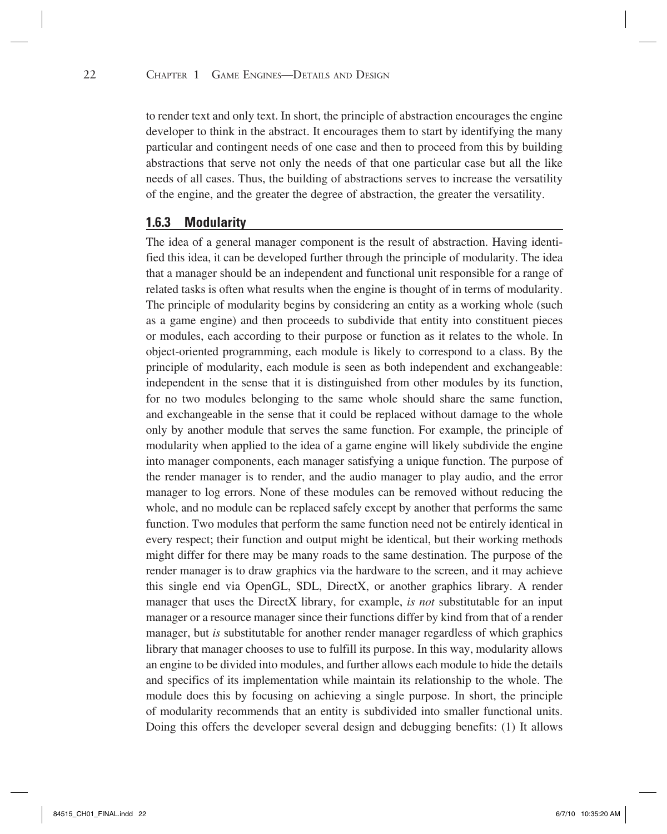to render text and only text. In short, the principle of abstraction encourages the engine developer to think in the abstract. It encourages them to start by identifying the many particular and contingent needs of one case and then to proceed from this by building abstractions that serve not only the needs of that one particular case but all the like needs of all cases. Thus, the building of abstractions serves to increase the versatility of the engine, and the greater the degree of abstraction, the greater the versatility.

#### **1.6.3 Modularity**

The idea of a general manager component is the result of abstraction. Having identified this idea, it can be developed further through the principle of modularity. The idea that a manager should be an independent and functional unit responsible for a range of related tasks is often what results when the engine is thought of in terms of modularity. The principle of modularity begins by considering an entity as a working whole (such as a game engine) and then proceeds to subdivide that entity into constituent pieces or modules, each according to their purpose or function as it relates to the whole. In object-oriented programming, each module is likely to correspond to a class. By the principle of modularity, each module is seen as both independent and exchangeable: independent in the sense that it is distinguished from other modules by its function, for no two modules belonging to the same whole should share the same function, and exchangeable in the sense that it could be replaced without damage to the whole only by another module that serves the same function. For example, the principle of modularity when applied to the idea of a game engine will likely subdivide the engine into manager components, each manager satisfying a unique function. The purpose of the render manager is to render, and the audio manager to play audio, and the error manager to log errors. None of these modules can be removed without reducing the whole, and no module can be replaced safely except by another that performs the same function. Two modules that perform the same function need not be entirely identical in every respect; their function and output might be identical, but their working methods might differ for there may be many roads to the same destination. The purpose of the render manager is to draw graphics via the hardware to the screen, and it may achieve this single end via OpenGL, SDL, DirectX, or another graphics library. A render manager that uses the DirectX library, for example, *is not* substitutable for an input manager or a resource manager since their functions differ by kind from that of a render manager, but *is* substitutable for another render manager regardless of which graphics library that manager chooses to use to fulfill its purpose. In this way, modularity allows an engine to be divided into modules, and further allows each module to hide the details and specifics of its implementation while maintain its relationship to the whole. The module does this by focusing on achieving a single purpose. In short, the principle of modularity recommends that an entity is subdivided into smaller functional units. Doing this offers the developer several design and debugging benefits: (1) It allows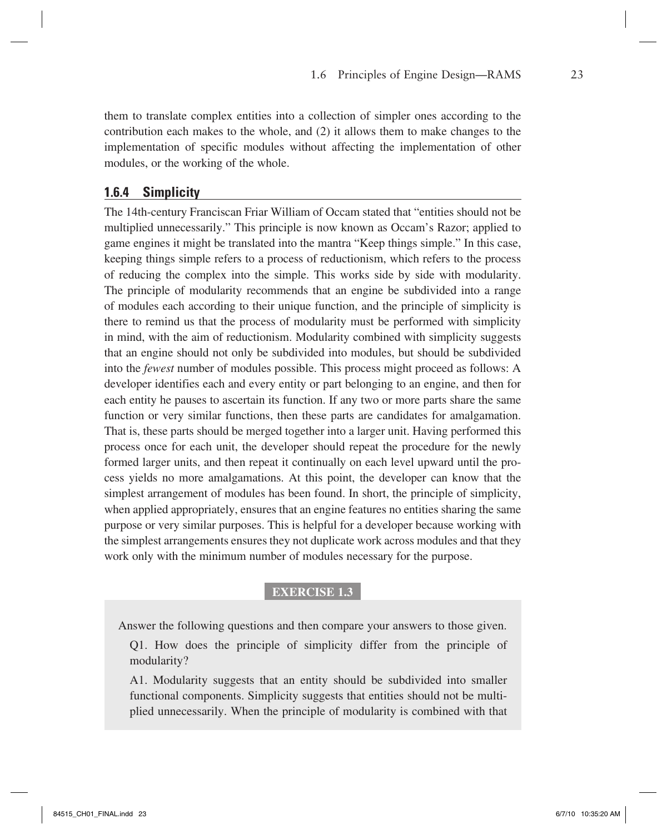them to translate complex entities into a collection of simpler ones according to the contribution each makes to the whole, and (2) it allows them to make changes to the implementation of specific modules without affecting the implementation of other modules, or the working of the whole.

#### **1.6.4 Simplicity**

The 14th-century Franciscan Friar William of Occam stated that "entities should not be multiplied unnecessarily." This principle is now known as Occam's Razor; applied to game engines it might be translated into the mantra "Keep things simple." In this case, keeping things simple refers to a process of reductionism, which refers to the process of reducing the complex into the simple. This works side by side with modularity. The principle of modularity recommends that an engine be subdivided into a range of modules each according to their unique function, and the principle of simplicity is there to remind us that the process of modularity must be performed with simplicity in mind, with the aim of reductionism. Modularity combined with simplicity suggests that an engine should not only be subdivided into modules, but should be subdivided into the *fewest* number of modules possible. This process might proceed as follows: A developer identifies each and every entity or part belonging to an engine, and then for each entity he pauses to ascertain its function. If any two or more parts share the same function or very similar functions, then these parts are candidates for amalgamation. That is, these parts should be merged together into a larger unit. Having performed this process once for each unit, the developer should repeat the procedure for the newly formed larger units, and then repeat it continually on each level upward until the process yields no more amalgamations. At this point, the developer can know that the simplest arrangement of modules has been found. In short, the principle of simplicity, when applied appropriately, ensures that an engine features no entities sharing the same purpose or very similar purposes. This is helpful for a developer because working with the simplest arrangements ensures they not duplicate work across modules and that they work only with the minimum number of modules necessary for the purpose.

#### **EXERCISE 1.3**

Answer the following questions and then compare your answers to those given.

Q1. How does the principle of simplicity differ from the principle of modularity?

A1. Modularity suggests that an entity should be subdivided into smaller functional components. Simplicity suggests that entities should not be multiplied unnecessarily. When the principle of modularity is combined with that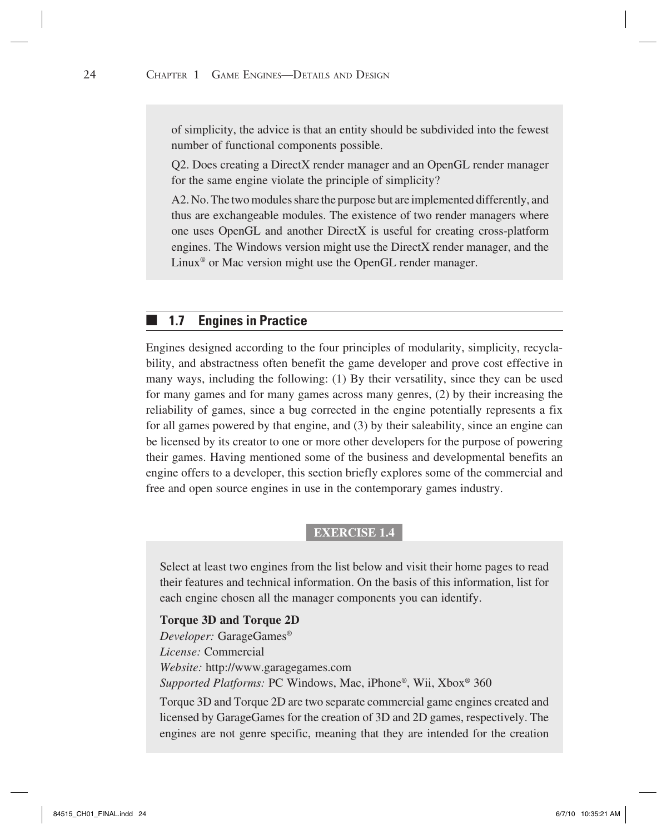of simplicity, the advice is that an entity should be subdivided into the fewest number of functional components possible.

Q2. Does creating a DirectX render manager and an OpenGL render manager for the same engine violate the principle of simplicity?

A2. No. The two modules share the purpose but are implemented differently, and thus are exchangeable modules. The existence of two render managers where one uses OpenGL and another DirectX is useful for creating cross-platform engines. The Windows version might use the DirectX render manager, and the Linux® or Mac version might use the OpenGL render manager.

#### ■ **1.7 Engines in Practice**

Engines designed according to the four principles of modularity, simplicity, recyclability, and abstractness often benefit the game developer and prove cost effective in many ways, including the following: (1) By their versatility, since they can be used for many games and for many games across many genres, (2) by their increasing the reliability of games, since a bug corrected in the engine potentially represents a fix for all games powered by that engine, and (3) by their saleability, since an engine can be licensed by its creator to one or more other developers for the purpose of powering their games. Having mentioned some of the business and developmental benefits an engine offers to a developer, this section briefly explores some of the commercial and free and open source engines in use in the contemporary games industry.

#### **EXERCISE 1.4**

Select at least two engines from the list below and visit their home pages to read their features and technical information. On the basis of this information, list for each engine chosen all the manager components you can identify.

#### **Torque 3D and Torque 2D**

*Developer:* GarageGames*® License:* Commercial *Website:* http://www.garagegames.com *Supported Platforms:* PC Windows, Mac, iPhone®, Wii, Xbox® 360

Torque 3D and Torque 2D are two separate commercial game engines created and licensed by GarageGames for the creation of 3D and 2D games, respectively. The engines are not genre specific, meaning that they are intended for the creation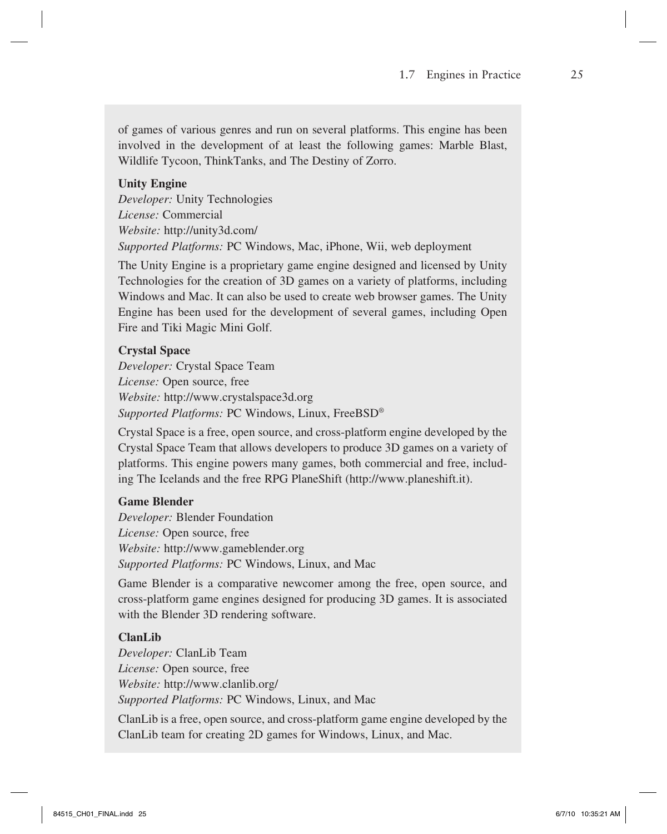of games of various genres and run on several platforms. This engine has been involved in the development of at least the following games: Marble Blast, Wildlife Tycoon, ThinkTanks, and The Destiny of Zorro.

#### **Unity Engine**

*Developer:* Unity Technologies *License:* Commercial *Website:* http://unity3d.com/ *Supported Platforms:* PC Windows, Mac, iPhone, Wii, web deployment

The Unity Engine is a proprietary game engine designed and licensed by Unity Technologies for the creation of 3D games on a variety of platforms, including Windows and Mac. It can also be used to create web browser games. The Unity Engine has been used for the development of several games, including Open Fire and Tiki Magic Mini Golf.

#### **Crystal Space**

*Developer:* Crystal Space Team *License:* Open source, free *Website:* http://www.crystalspace3d.org *Supported Platforms:* PC Windows, Linux, FreeBSD®

Crystal Space is a free, open source, and cross-platform engine developed by the Crystal Space Team that allows developers to produce 3D games on a variety of platforms. This engine powers many games, both commercial and free, including The Icelands and the free RPG PlaneShift (http://www.planeshift.it).

#### **Game Blender**

*Developer:* Blender Foundation *License:* Open source, free *Website:* http://www.gameblender.org *Supported Platforms:* PC Windows, Linux, and Mac

Game Blender is a comparative newcomer among the free, open source, and cross-platform game engines designed for producing 3D games. It is associated with the Blender 3D rendering software.

#### **ClanLib**

*Developer:* ClanLib Team *License:* Open source, free *Website:* http://www.clanlib.org/ *Supported Platforms:* PC Windows, Linux, and Mac

ClanLib is a free, open source, and cross-platform game engine developed by the ClanLib team for creating 2D games for Windows, Linux, and Mac.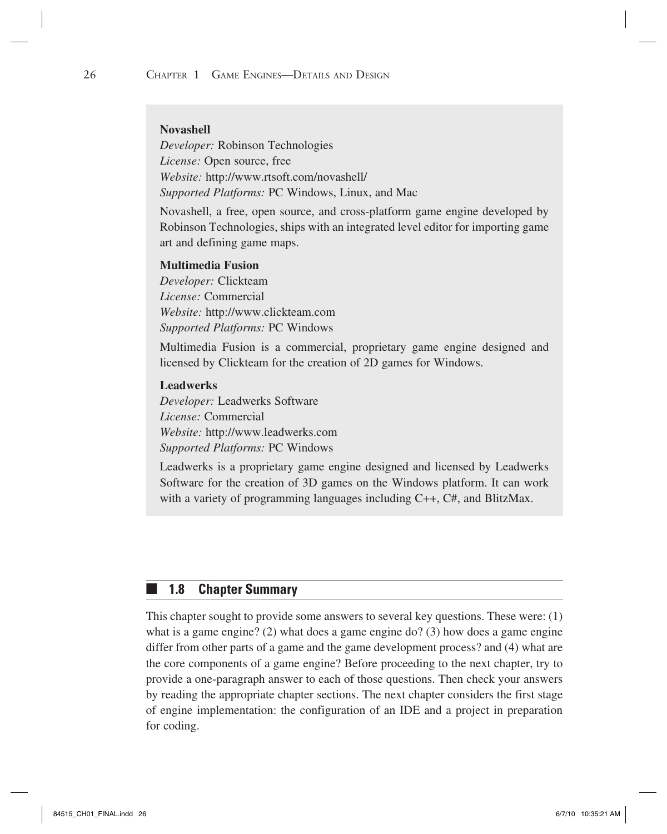#### **Novashell**

*Developer:* Robinson Technologies *License:* Open source, free *Website:* http://www.rtsoft.com/novashell/ *Supported Platforms:* PC Windows, Linux, and Mac

Novashell, a free, open source, and cross-platform game engine developed by Robinson Technologies, ships with an integrated level editor for importing game art and defining game maps.

#### **Multimedia Fusion**

*Developer:* Clickteam *License:* Commercial *Website:* http://www.clickteam.com *Supported Platforms:* PC Windows

Multimedia Fusion is a commercial, proprietary game engine designed and licensed by Clickteam for the creation of 2D games for Windows.

#### **Leadwerks**

*Developer:* Leadwerks Software *License:* Commercial *Website:* http://www.leadwerks.com *Supported Platforms:* PC Windows

Leadwerks is a proprietary game engine designed and licensed by Leadwerks Software for the creation of 3D games on the Windows platform. It can work with a variety of programming languages including C++, C#, and BlitzMax.

#### ■ **1.8 Chapter Summary**

This chapter sought to provide some answers to several key questions. These were: (1) what is a game engine? (2) what does a game engine do? (3) how does a game engine differ from other parts of a game and the game development process? and (4) what are the core components of a game engine? Before proceeding to the next chapter, try to provide a one-paragraph answer to each of those questions. Then check your answers by reading the appropriate chapter sections. The next chapter considers the first stage of engine implementation: the configuration of an IDE and a project in preparation for coding.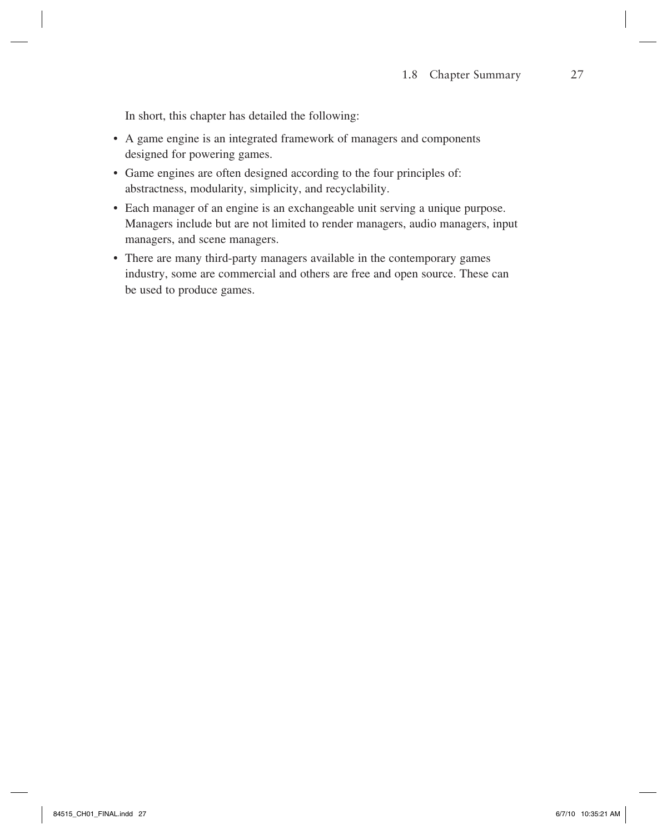In short, this chapter has detailed the following:

- • A game engine is an integrated framework of managers and components designed for powering games.
- • Game engines are often designed according to the four principles of: abstractness, modularity, simplicity, and recyclability.
- • Each manager of an engine is an exchangeable unit serving a unique purpose. Managers include but are not limited to render managers, audio managers, input managers, and scene managers.
- There are many third-party managers available in the contemporary games industry, some are commercial and others are free and open source. These can be used to produce games.